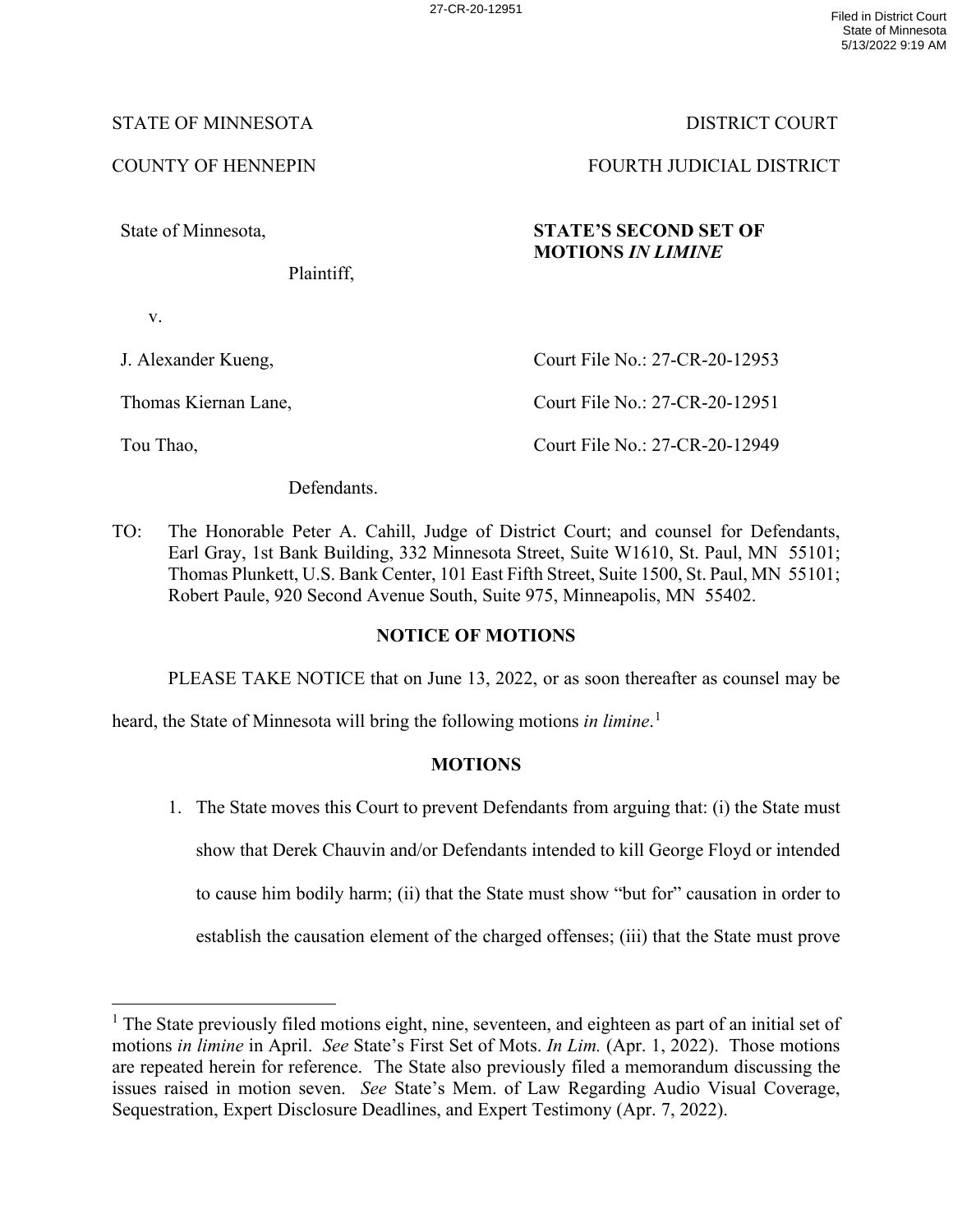## STATE OF MINNESOTA DISTRICT COURT

State of Minnesota,

Plaintiff,

v.

J. Alexander Kueng,

Thomas Kiernan Lane,

Tou Thao,

COUNTY OF HENNEPIN FOURTH JUDICIAL DISTRICT

# **STATE'S SECOND SET OF MOTIONS** *IN LIMINE*

Court File No.: 27-CR-20-12953 Court File No.: 27-CR-20-12951

Court File No.: 27-CR-20-12949

Defendants.

TO: The Honorable Peter A. Cahill, Judge of District Court; and counsel for Defendants, Earl Gray, 1st Bank Building, 332 Minnesota Street, Suite W1610, St. Paul, MN 55101; Thomas Plunkett, U.S. Bank Center, 101 East Fifth Street, Suite 1500, St. Paul, MN 55101; Robert Paule, 920 Second Avenue South, Suite 975, Minneapolis, MN 55402.

## **NOTICE OF MOTIONS**

PLEASE TAKE NOTICE that on June 13, 2022, or as soon thereafter as counsel may be

heard, the State of Minnesota will bring the following motions *in limine*. [1](#page-0-0)

## **MOTIONS**

1. The State moves this Court to prevent Defendants from arguing that: (i) the State must show that Derek Chauvin and/or Defendants intended to kill George Floyd or intended to cause him bodily harm; (ii) that the State must show "but for" causation in order to establish the causation element of the charged offenses; (iii) that the State must prove

<span id="page-0-0"></span><sup>&</sup>lt;sup>1</sup> The State previously filed motions eight, nine, seventeen, and eighteen as part of an initial set of motions *in limine* in April. *See* State's First Set of Mots. *In Lim.* (Apr. 1, 2022). Those motions are repeated herein for reference. The State also previously filed a memorandum discussing the issues raised in motion seven. *See* State's Mem. of Law Regarding Audio Visual Coverage, Sequestration, Expert Disclosure Deadlines, and Expert Testimony (Apr. 7, 2022).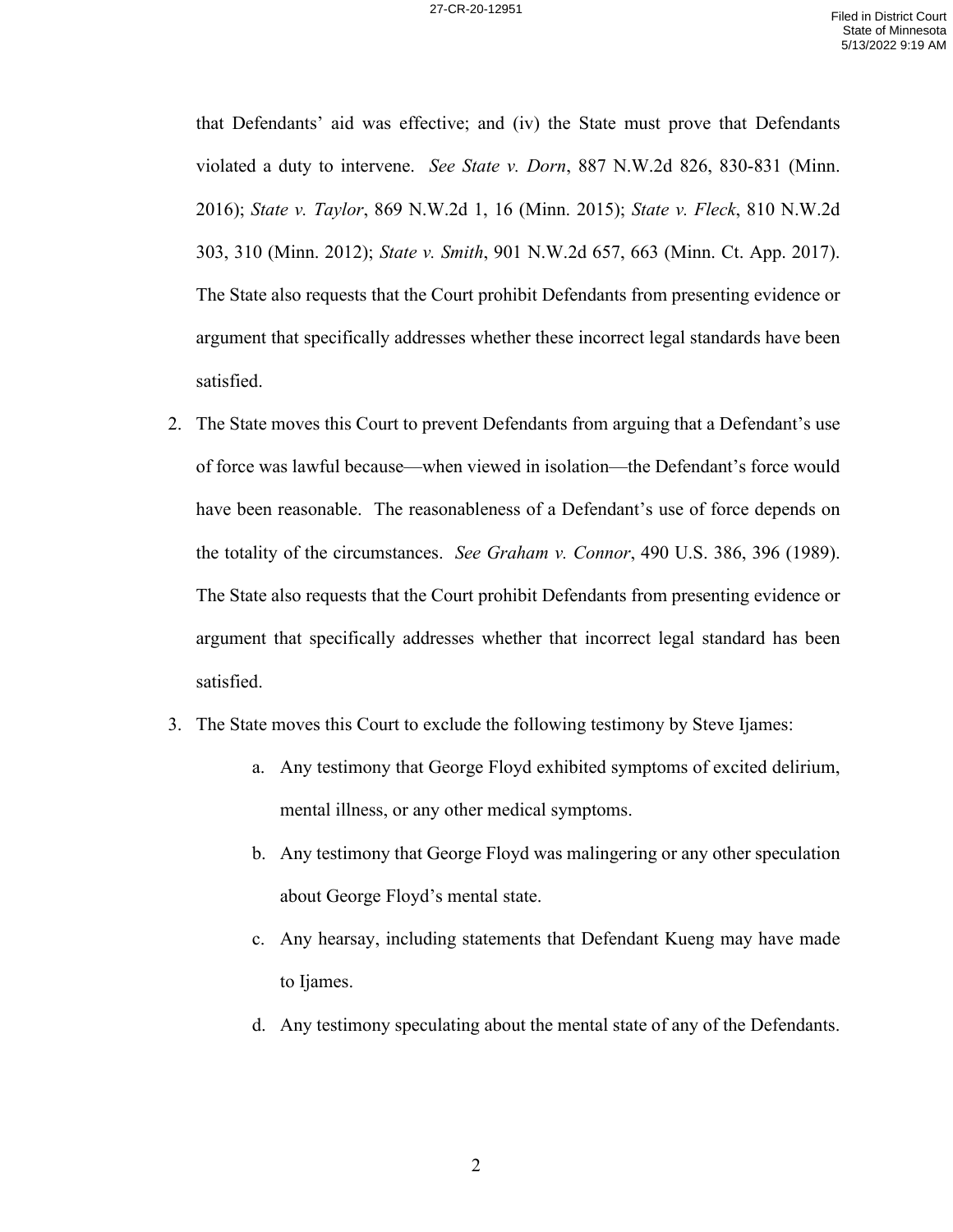that Defendants' aid was effective; and (iv) the State must prove that Defendants violated a duty to intervene. *See State v. Dorn*, 887 N.W.2d 826, 830-831 (Minn. 2016); *State v. Taylor*, 869 N.W.2d 1, 16 (Minn. 2015); *State v. Fleck*, 810 N.W.2d 303, 310 (Minn. 2012); *State v. Smith*, 901 N.W.2d 657, 663 (Minn. Ct. App. 2017). The State also requests that the Court prohibit Defendants from presenting evidence or argument that specifically addresses whether these incorrect legal standards have been satisfied.

- 2. The State moves this Court to prevent Defendants from arguing that a Defendant's use of force was lawful because—when viewed in isolation—the Defendant's force would have been reasonable. The reasonableness of a Defendant's use of force depends on the totality of the circumstances. *See Graham v. Connor*, 490 U.S. 386, 396 (1989). The State also requests that the Court prohibit Defendants from presenting evidence or argument that specifically addresses whether that incorrect legal standard has been satisfied.
- 3. The State moves this Court to exclude the following testimony by Steve Ijames:
	- a. Any testimony that George Floyd exhibited symptoms of excited delirium, mental illness, or any other medical symptoms.
	- b. Any testimony that George Floyd was malingering or any other speculation about George Floyd's mental state.
	- c. Any hearsay, including statements that Defendant Kueng may have made to Ijames.
	- d. Any testimony speculating about the mental state of any of the Defendants.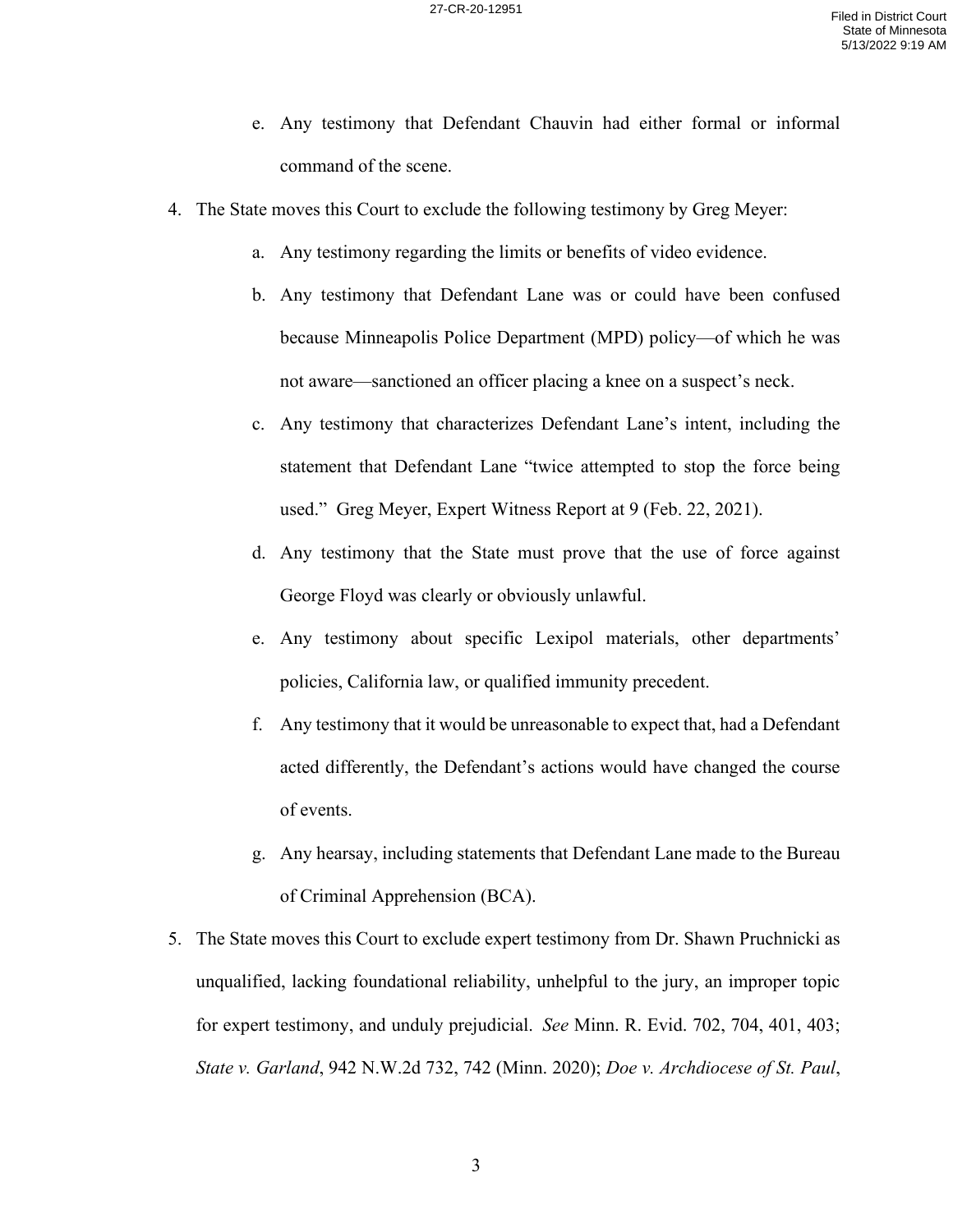- e. Any testimony that Defendant Chauvin had either formal or informal command of the scene.
- 4. The State moves this Court to exclude the following testimony by Greg Meyer:
	- a. Any testimony regarding the limits or benefits of video evidence.
	- b. Any testimony that Defendant Lane was or could have been confused because Minneapolis Police Department (MPD) policy—of which he was not aware—sanctioned an officer placing a knee on a suspect's neck.
	- c. Any testimony that characterizes Defendant Lane's intent, including the statement that Defendant Lane "twice attempted to stop the force being used." Greg Meyer, Expert Witness Report at 9 (Feb. 22, 2021).
	- d. Any testimony that the State must prove that the use of force against George Floyd was clearly or obviously unlawful.
	- e. Any testimony about specific Lexipol materials, other departments' policies, California law, or qualified immunity precedent.
	- f. Any testimony that it would be unreasonable to expect that, had a Defendant acted differently, the Defendant's actions would have changed the course of events.
	- g. Any hearsay, including statements that Defendant Lane made to the Bureau of Criminal Apprehension (BCA).
- 5. The State moves this Court to exclude expert testimony from Dr. Shawn Pruchnicki as unqualified, lacking foundational reliability, unhelpful to the jury, an improper topic for expert testimony, and unduly prejudicial. *See* Minn. R. Evid. 702, 704, 401, 403; *State v. Garland*, 942 N.W.2d 732, 742 (Minn. 2020); *Doe v. Archdiocese of St. Paul*,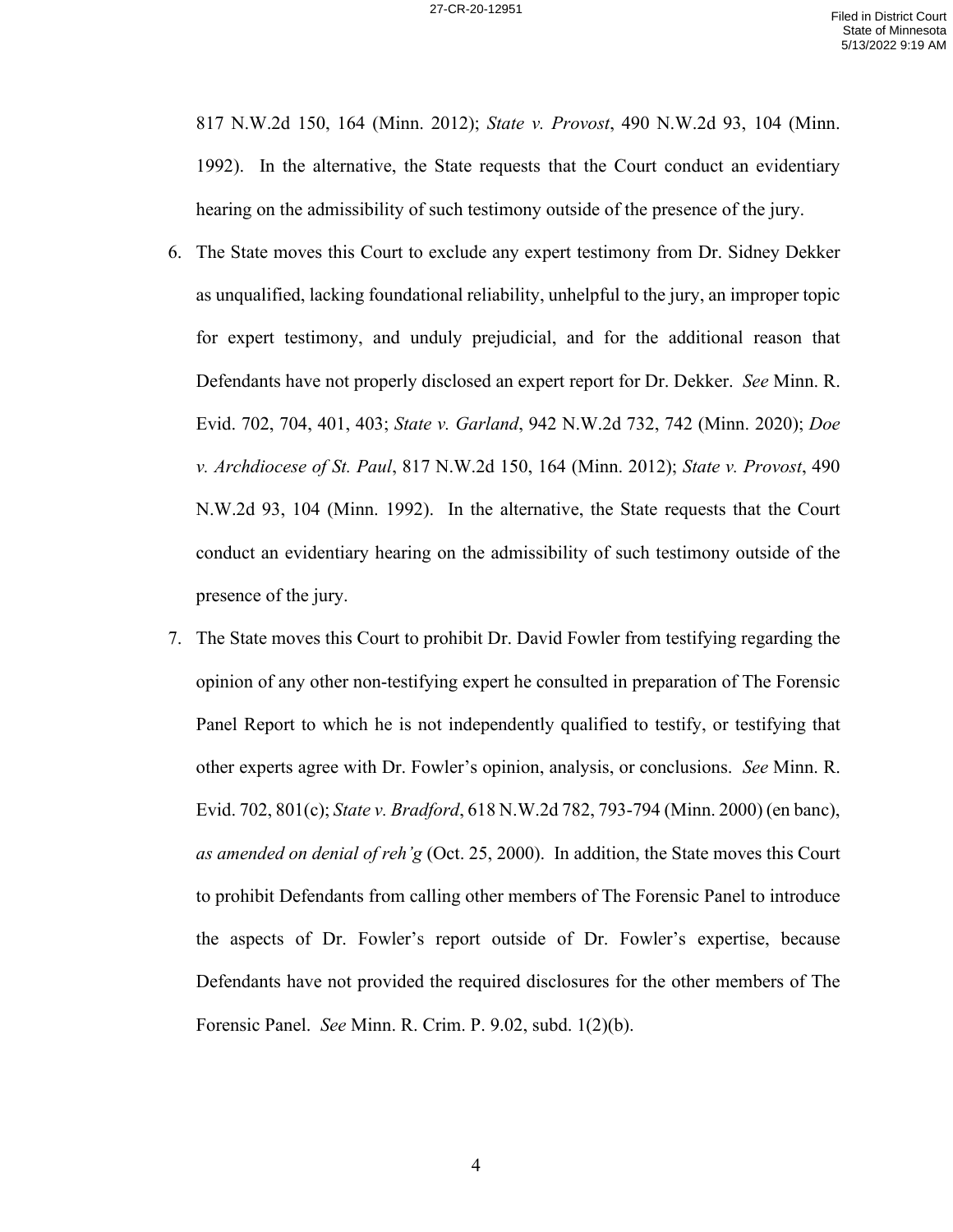817 N.W.2d 150, 164 (Minn. 2012); *State v. Provost*, 490 N.W.2d 93, 104 (Minn. 1992). In the alternative, the State requests that the Court conduct an evidentiary hearing on the admissibility of such testimony outside of the presence of the jury.

- 6. The State moves this Court to exclude any expert testimony from Dr. Sidney Dekker as unqualified, lacking foundational reliability, unhelpful to the jury, an improper topic for expert testimony, and unduly prejudicial, and for the additional reason that Defendants have not properly disclosed an expert report for Dr. Dekker. *See* Minn. R. Evid. 702, 704, 401, 403; *State v. Garland*, 942 N.W.2d 732, 742 (Minn. 2020); *Doe v. Archdiocese of St. Paul*, 817 N.W.2d 150, 164 (Minn. 2012); *State v. Provost*, 490 N.W.2d 93, 104 (Minn. 1992). In the alternative, the State requests that the Court conduct an evidentiary hearing on the admissibility of such testimony outside of the presence of the jury.
- 7. The State moves this Court to prohibit Dr. David Fowler from testifying regarding the opinion of any other non-testifying expert he consulted in preparation of The Forensic Panel Report to which he is not independently qualified to testify, or testifying that other experts agree with Dr. Fowler's opinion, analysis, or conclusions. *See* Minn. R. Evid. 702, 801(c); *State v. Bradford*, 618 N.W.2d 782, 793-794 (Minn. 2000) (en banc), *as amended on denial of reh'g* (Oct. 25, 2000). In addition, the State moves this Court to prohibit Defendants from calling other members of The Forensic Panel to introduce the aspects of Dr. Fowler's report outside of Dr. Fowler's expertise, because Defendants have not provided the required disclosures for the other members of The Forensic Panel. *See* Minn. R. Crim. P. 9.02, subd. 1(2)(b).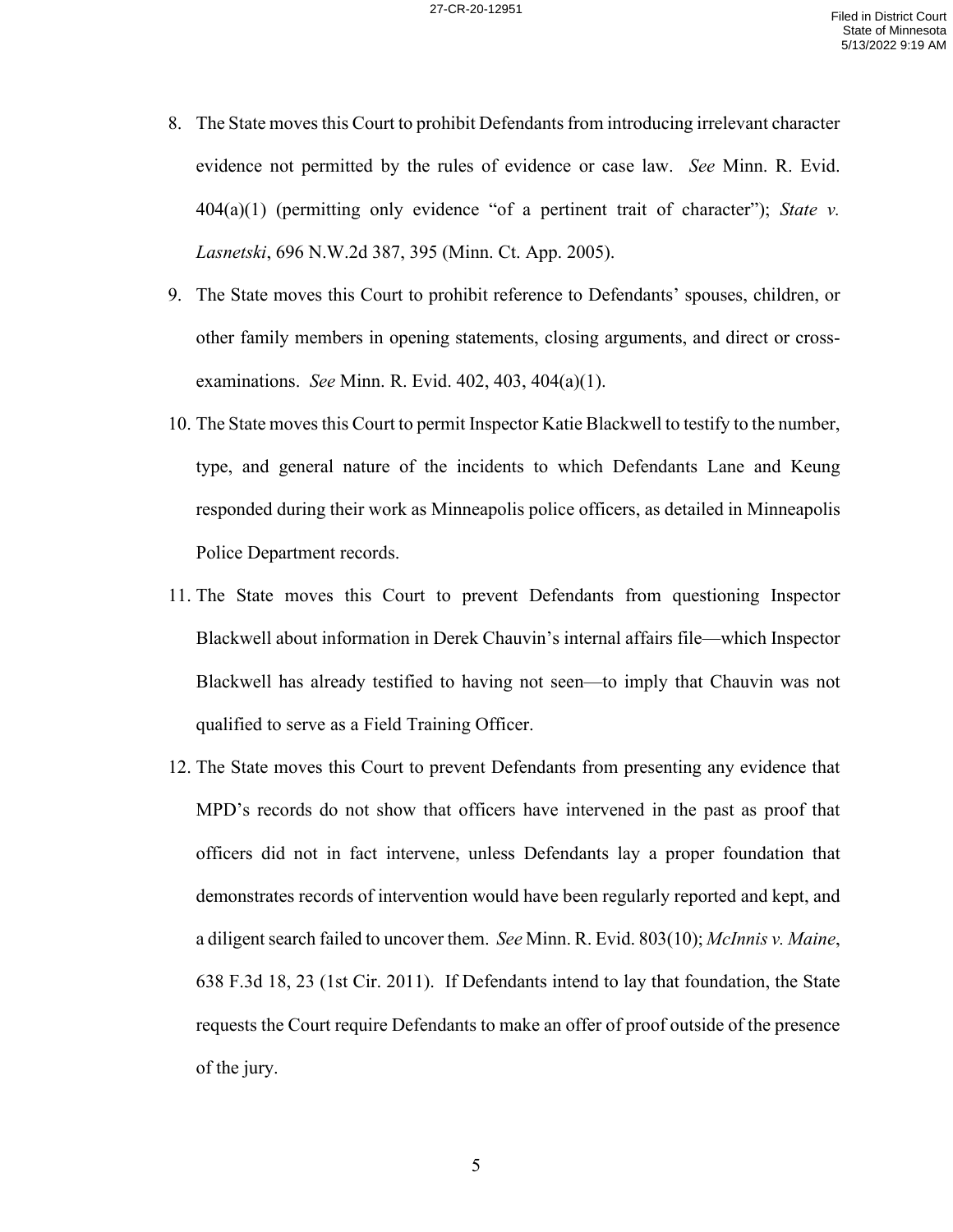- 8. The State moves this Court to prohibit Defendants from introducing irrelevant character evidence not permitted by the rules of evidence or case law. *See* Minn. R. Evid. 404(a)(1) (permitting only evidence "of a pertinent trait of character"); *State v. Lasnetski*, 696 N.W.2d 387, 395 (Minn. Ct. App. 2005).
- 9. The State moves this Court to prohibit reference to Defendants' spouses, children, or other family members in opening statements, closing arguments, and direct or crossexaminations. *See* Minn. R. Evid. 402, 403, 404(a)(1).
- 10. The State moves this Court to permit Inspector Katie Blackwell to testify to the number, type, and general nature of the incidents to which Defendants Lane and Keung responded during their work as Minneapolis police officers, as detailed in Minneapolis Police Department records.
- 11. The State moves this Court to prevent Defendants from questioning Inspector Blackwell about information in Derek Chauvin's internal affairs file—which Inspector Blackwell has already testified to having not seen—to imply that Chauvin was not qualified to serve as a Field Training Officer.
- 12. The State moves this Court to prevent Defendants from presenting any evidence that MPD's records do not show that officers have intervened in the past as proof that officers did not in fact intervene, unless Defendants lay a proper foundation that demonstrates records of intervention would have been regularly reported and kept, and a diligent search failed to uncover them. *See* Minn. R. Evid. 803(10); *McInnis v. Maine*, 638 F.3d 18, 23 (1st Cir. 2011). If Defendants intend to lay that foundation, the State requests the Court require Defendants to make an offer of proof outside of the presence of the jury.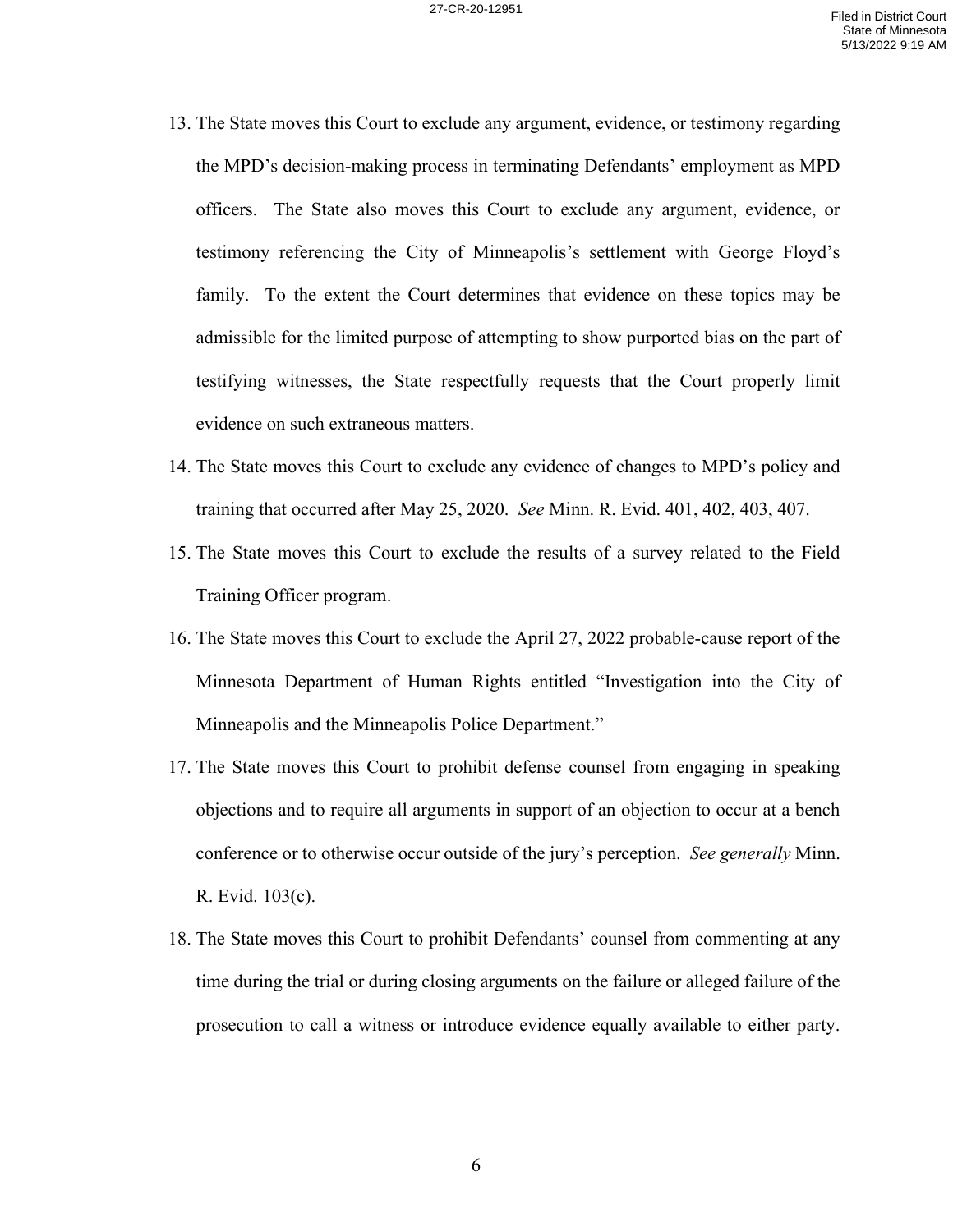- 13. The State moves this Court to exclude any argument, evidence, or testimony regarding the MPD's decision-making process in terminating Defendants' employment as MPD officers. The State also moves this Court to exclude any argument, evidence, or testimony referencing the City of Minneapolis's settlement with George Floyd's family. To the extent the Court determines that evidence on these topics may be admissible for the limited purpose of attempting to show purported bias on the part of testifying witnesses, the State respectfully requests that the Court properly limit evidence on such extraneous matters.
- 14. The State moves this Court to exclude any evidence of changes to MPD's policy and training that occurred after May 25, 2020. *See* Minn. R. Evid. 401, 402, 403, 407.
- 15. The State moves this Court to exclude the results of a survey related to the Field Training Officer program.
- 16. The State moves this Court to exclude the April 27, 2022 probable-cause report of the Minnesota Department of Human Rights entitled "Investigation into the City of Minneapolis and the Minneapolis Police Department."
- 17. The State moves this Court to prohibit defense counsel from engaging in speaking objections and to require all arguments in support of an objection to occur at a bench conference or to otherwise occur outside of the jury's perception. *See generally* Minn. R. Evid. 103(c).
- 18. The State moves this Court to prohibit Defendants' counsel from commenting at any time during the trial or during closing arguments on the failure or alleged failure of the prosecution to call a witness or introduce evidence equally available to either party.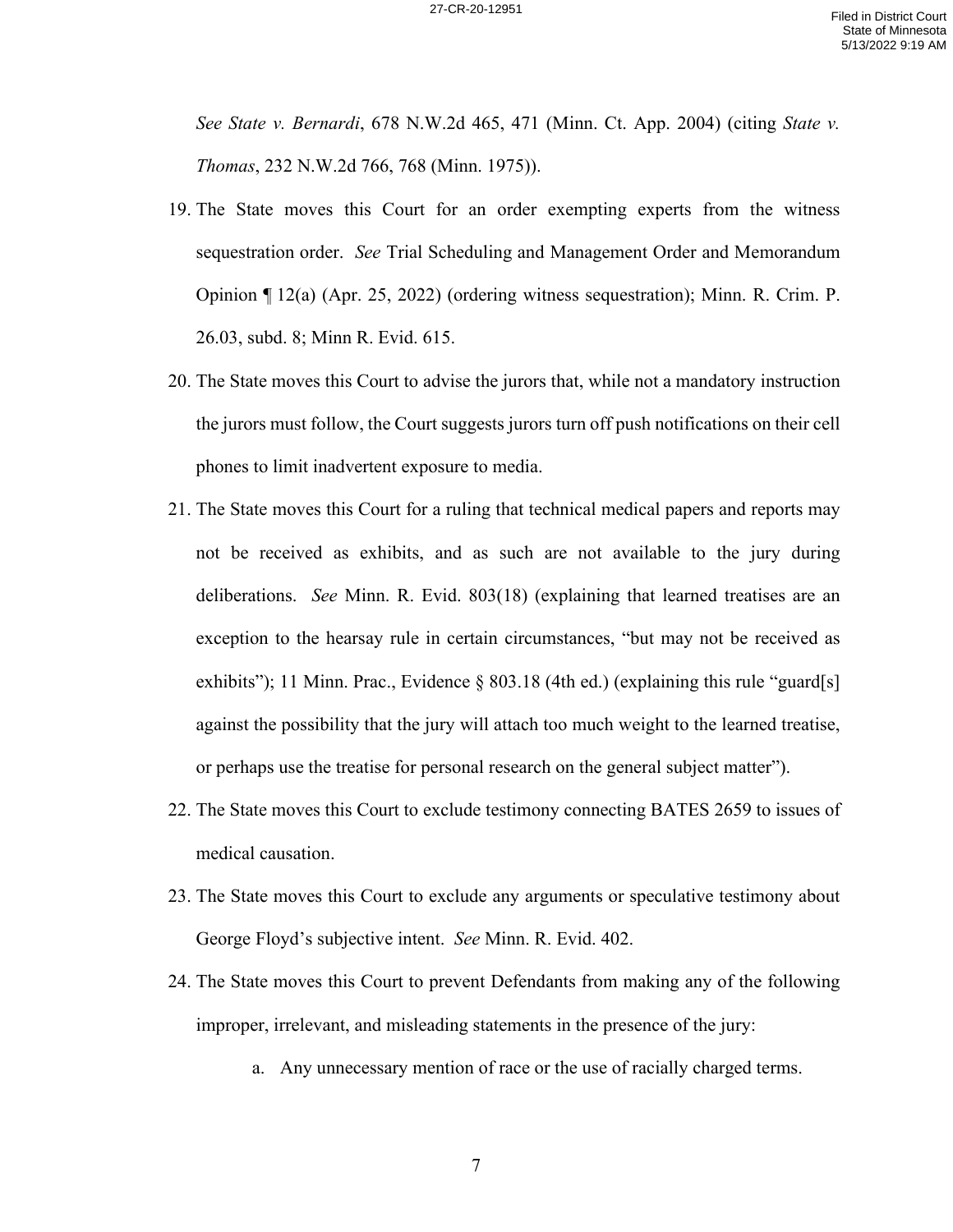*See State v. Bernardi*, 678 N.W.2d 465, 471 (Minn. Ct. App. 2004) (citing *State v. Thomas*, 232 N.W.2d 766, 768 (Minn. 1975)).

- 19. The State moves this Court for an order exempting experts from the witness sequestration order. *See* Trial Scheduling and Management Order and Memorandum Opinion ¶ 12(a) (Apr. 25, 2022) (ordering witness sequestration); Minn. R. Crim. P. 26.03, subd. 8; Minn R. Evid. 615.
- 20. The State moves this Court to advise the jurors that, while not a mandatory instruction the jurors must follow, the Court suggests jurors turn off push notifications on their cell phones to limit inadvertent exposure to media.
- 21. The State moves this Court for a ruling that technical medical papers and reports may not be received as exhibits, and as such are not available to the jury during deliberations. *See* Minn. R. Evid. 803(18) (explaining that learned treatises are an exception to the hearsay rule in certain circumstances, "but may not be received as exhibits"); 11 Minn. Prac., Evidence § 803.18 (4th ed.) (explaining this rule "guard[s] against the possibility that the jury will attach too much weight to the learned treatise, or perhaps use the treatise for personal research on the general subject matter").
- 22. The State moves this Court to exclude testimony connecting BATES 2659 to issues of medical causation.
- 23. The State moves this Court to exclude any arguments or speculative testimony about George Floyd's subjective intent. *See* Minn. R. Evid. 402.
- 24. The State moves this Court to prevent Defendants from making any of the following improper, irrelevant, and misleading statements in the presence of the jury:
	- a. Any unnecessary mention of race or the use of racially charged terms.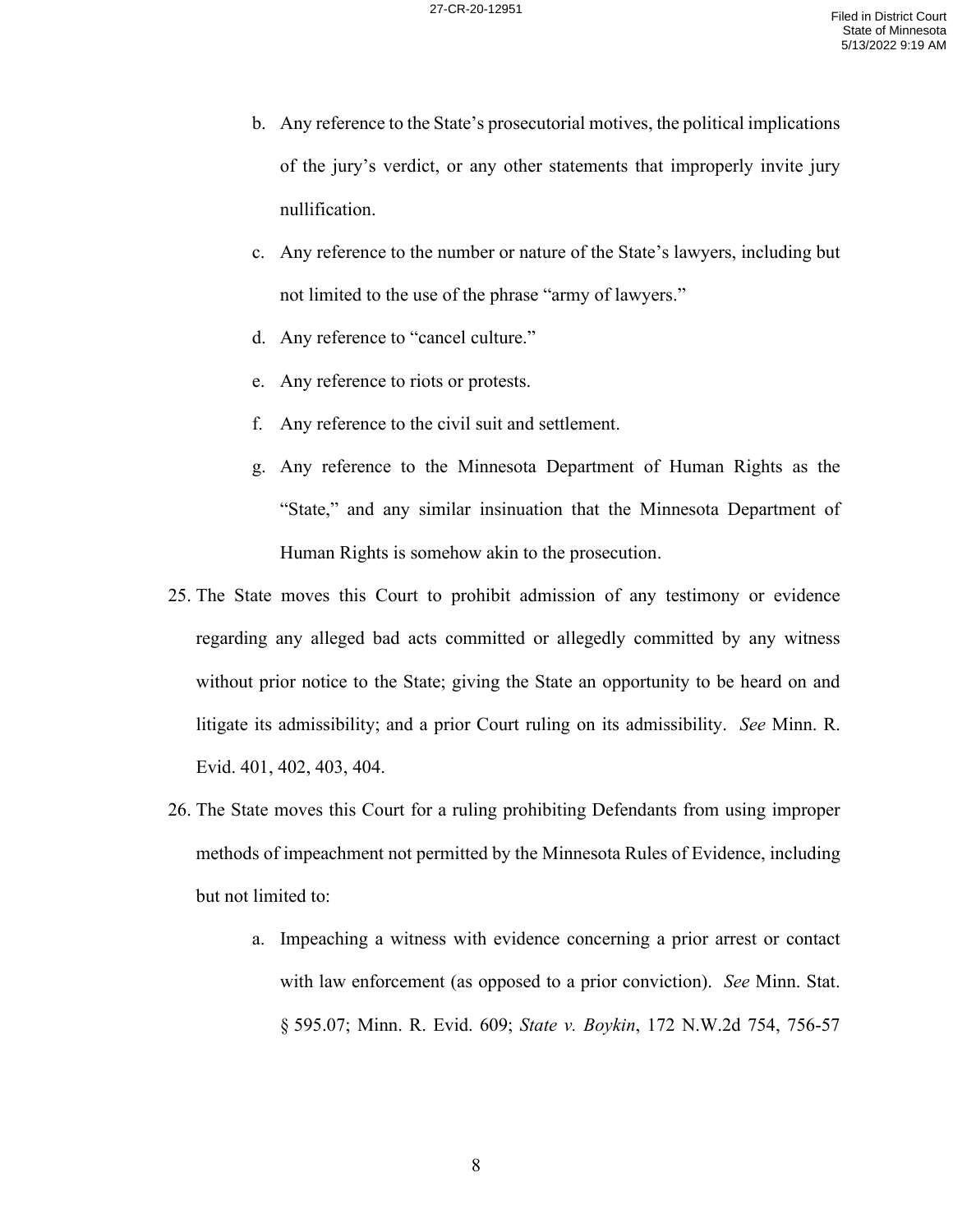- b. Any reference to the State's prosecutorial motives, the political implications of the jury's verdict, or any other statements that improperly invite jury nullification.
- c. Any reference to the number or nature of the State's lawyers, including but not limited to the use of the phrase "army of lawyers."
- d. Any reference to "cancel culture."
- e. Any reference to riots or protests.
- f. Any reference to the civil suit and settlement.
- g. Any reference to the Minnesota Department of Human Rights as the "State," and any similar insinuation that the Minnesota Department of Human Rights is somehow akin to the prosecution.
- 25. The State moves this Court to prohibit admission of any testimony or evidence regarding any alleged bad acts committed or allegedly committed by any witness without prior notice to the State; giving the State an opportunity to be heard on and litigate its admissibility; and a prior Court ruling on its admissibility. *See* Minn. R. Evid. 401, 402, 403, 404.
- 26. The State moves this Court for a ruling prohibiting Defendants from using improper methods of impeachment not permitted by the Minnesota Rules of Evidence, including but not limited to:
	- a. Impeaching a witness with evidence concerning a prior arrest or contact with law enforcement (as opposed to a prior conviction). *See* Minn. Stat. § 595.07; Minn. R. Evid. 609; *State v. Boykin*, 172 N.W.2d 754, 756-57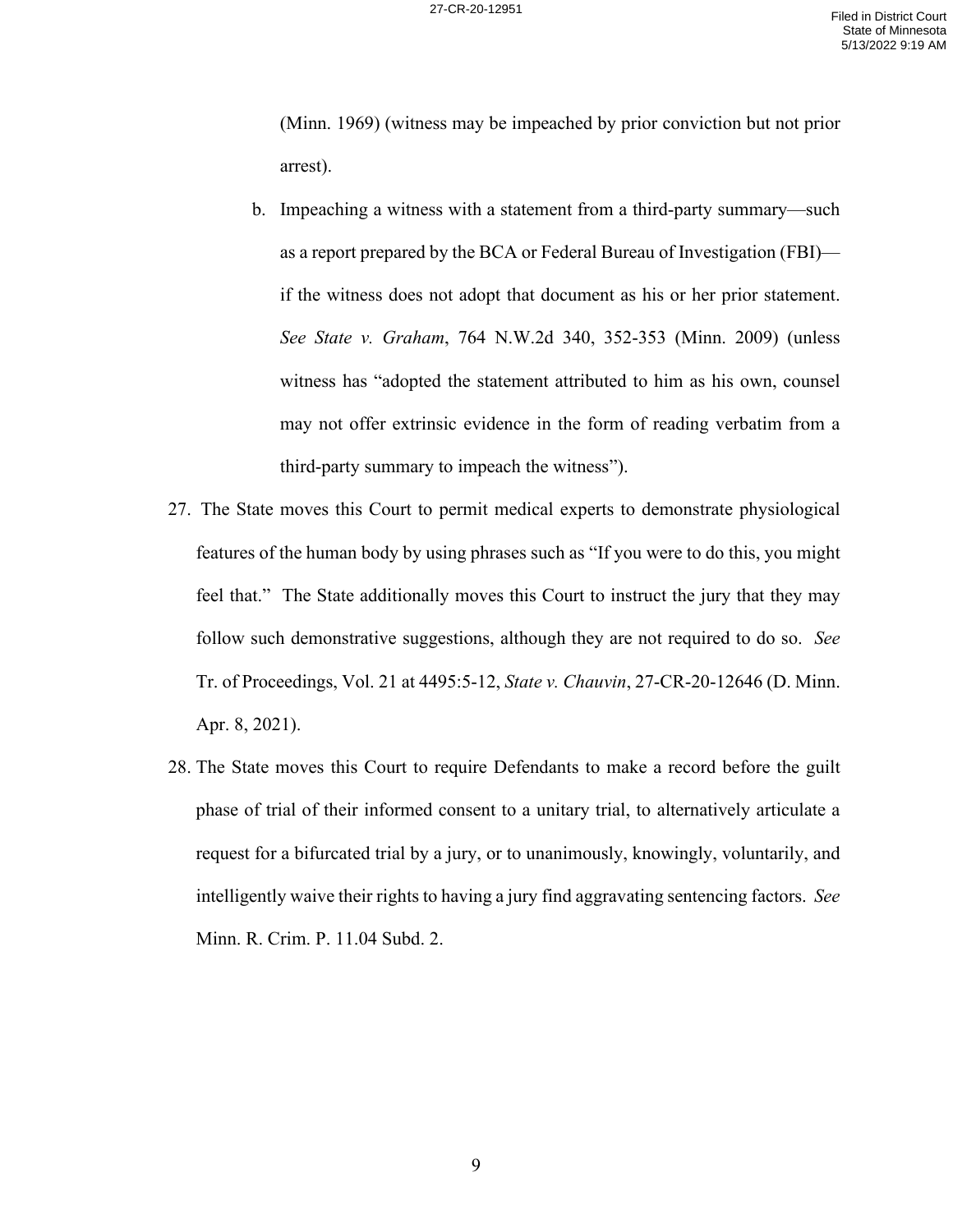(Minn. 1969) (witness may be impeached by prior conviction but not prior arrest).

- b. Impeaching a witness with a statement from a third-party summary—such as a report prepared by the BCA or Federal Bureau of Investigation (FBI) if the witness does not adopt that document as his or her prior statement. *See State v. Graham*, 764 N.W.2d 340, 352-353 (Minn. 2009) (unless witness has "adopted the statement attributed to him as his own, counsel may not offer extrinsic evidence in the form of reading verbatim from a third-party summary to impeach the witness").
- 27. The State moves this Court to permit medical experts to demonstrate physiological features of the human body by using phrases such as "If you were to do this, you might feel that." The State additionally moves this Court to instruct the jury that they may follow such demonstrative suggestions, although they are not required to do so. *See*  Tr. of Proceedings, Vol. 21 at 4495:5-12, *State v. Chauvin*, 27-CR-20-12646 (D. Minn. Apr. 8, 2021).
- 28. The State moves this Court to require Defendants to make a record before the guilt phase of trial of their informed consent to a unitary trial, to alternatively articulate a request for a bifurcated trial by a jury, or to unanimously, knowingly, voluntarily, and intelligently waive their rights to having a jury find aggravating sentencing factors. *See*  Minn. R. Crim. P. 11.04 Subd. 2.